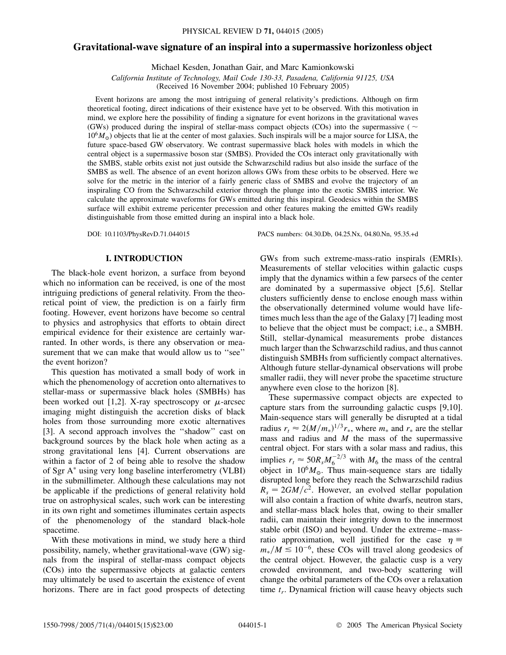# **Gravitational-wave signature of an inspiral into a supermassive horizonless object**

Michael Kesden, Jonathan Gair, and Marc Kamionkowski

*California Institute of Technology, Mail Code 130-33, Pasadena, California 91125, USA* (Received 16 November 2004; published 10 February 2005)

Event horizons are among the most intriguing of general relativity's predictions. Although on firm theoretical footing, direct indications of their existence have yet to be observed. With this motivation in mind, we explore here the possibility of finding a signature for event horizons in the gravitational waves (GWs) produced during the inspiral of stellar-mass compact objects (COs) into the supermassive ( $\sim$ 10<sup>6</sup> $M_{\odot}$ ) objects that lie at the center of most galaxies. Such inspirals will be a major source for LISA, the future space-based GW observatory. We contrast supermassive black holes with models in which the central object is a supermassive boson star (SMBS). Provided the COs interact only gravitationally with the SMBS, stable orbits exist not just outside the Schwarzschild radius but also inside the surface of the SMBS as well. The absence of an event horizon allows GWs from these orbits to be observed. Here we solve for the metric in the interior of a fairly generic class of SMBS and evolve the trajectory of an inspiraling CO from the Schwarzschild exterior through the plunge into the exotic SMBS interior. We calculate the approximate waveforms for GWs emitted during this inspiral. Geodesics within the SMBS surface will exhibit extreme pericenter precession and other features making the emitted GWs readily distinguishable from those emitted during an inspiral into a black hole.

DOI: 10.1103/PhysRevD.71.044015 PACS numbers: 04.30.Db, 04.25.Nx, 04.80.Nn, 95.35.+d

## **I. INTRODUCTION**

The black-hole event horizon, a surface from beyond which no information can be received, is one of the most intriguing predictions of general relativity. From the theoretical point of view, the prediction is on a fairly firm footing. However, event horizons have become so central to physics and astrophysics that efforts to obtain direct empirical evidence for their existence are certainly warranted. In other words, is there any observation or measurement that we can make that would allow us to "see" the event horizon?

This question has motivated a small body of work in which the phenomenology of accretion onto alternatives to stellar-mass or supermassive black holes (SMBHs) has been worked out [1,2]. X-ray spectroscopy or  $\mu$ -arcsec imaging might distinguish the accretion disks of black holes from those surrounding more exotic alternatives [3]. A second approach involves the ''shadow'' cast on background sources by the black hole when acting as a strong gravitational lens [4]. Current observations are within a factor of 2 of being able to resolve the shadow of Sgr A<sup>\*</sup> using very long baseline interferometry (VLBI) in the submillimeter. Although these calculations may not be applicable if the predictions of general relativity hold true on astrophysical scales, such work can be interesting in its own right and sometimes illuminates certain aspects of the phenomenology of the standard black-hole spacetime.

With these motivations in mind, we study here a third possibility, namely, whether gravitational-wave (GW) signals from the inspiral of stellar-mass compact objects (COs) into the supermassive objects at galactic centers may ultimately be used to ascertain the existence of event horizons. There are in fact good prospects of detecting GWs from such extreme-mass-ratio inspirals (EMRIs). Measurements of stellar velocities within galactic cusps imply that the dynamics within a few parsecs of the center are dominated by a supermassive object [5,6]. Stellar clusters sufficiently dense to enclose enough mass within the observationally determined volume would have lifetimes much less than the age of the Galaxy [7] leading most to believe that the object must be compact; i.e., a SMBH. Still, stellar-dynamical measurements probe distances much larger than the Schwarzschild radius, and thus cannot distinguish SMBHs from sufficiently compact alternatives. Although future stellar-dynamical observations will probe smaller radii, they will never probe the spacetime structure anywhere even close to the horizon [8].

These supermassive compact objects are expected to capture stars from the surrounding galactic cusps [9,10]. Main-sequence stars will generally be disrupted at a tidal radius  $r_t \approx 2(M/m_*)^{1/3}r_*$ , where  $m_*$  and  $r_*$  are the stellar mass and radius and *M* the mass of the supermassive central object. For stars with a solar mass and radius, this implies  $r_t \approx 50R_s M_6^{-2/3}$  with  $M_6$  the mass of the central object in  $10^6 M_{\odot}$ . Thus main-sequence stars are tidally disrupted long before they reach the Schwarzschild radius  $R_s = 2GM/c^2$ . However, an evolved stellar population will also contain a fraction of white dwarfs, neutron stars, and stellar-mass black holes that, owing to their smaller radii, can maintain their integrity down to the innermost stable orbit (ISO) and beyond. Under the extreme–massratio approximation, well justified for the case  $\eta \equiv$  $m_*/M \leq 10^{-6}$ , these COs will travel along geodesics of the central object. However, the galactic cusp is a very crowded environment, and two-body scattering will change the orbital parameters of the COs over a relaxation time *t<sub>r</sub>*. Dynamical friction will cause heavy objects such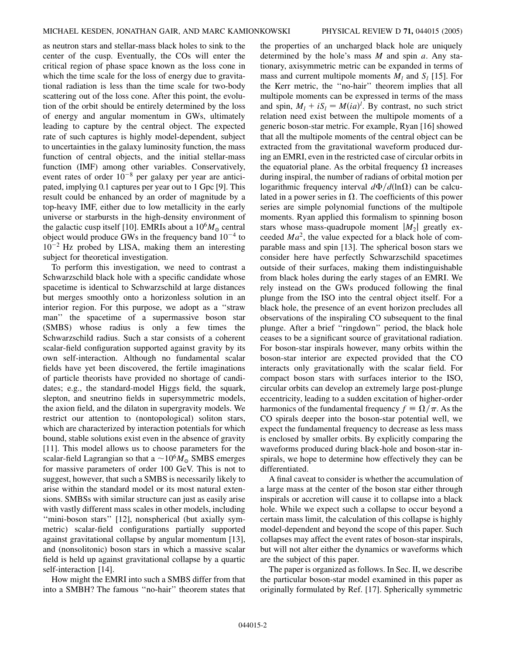as neutron stars and stellar-mass black holes to sink to the center of the cusp. Eventually, the COs will enter the critical region of phase space known as the loss cone in which the time scale for the loss of energy due to gravitational radiation is less than the time scale for two-body scattering out of the loss cone. After this point, the evolution of the orbit should be entirely determined by the loss of energy and angular momentum in GWs, ultimately leading to capture by the central object. The expected rate of such captures is highly model-dependent, subject to uncertainties in the galaxy luminosity function, the mass function of central objects, and the initial stellar-mass function (IMF) among other variables. Conservatively, event rates of order  $10^{-8}$  per galaxy per year are anticipated, implying 0.1 captures per year out to 1 Gpc [9]. This result could be enhanced by an order of magnitude by a top-heavy IMF, either due to low metallicity in the early universe or starbursts in the high-density environment of the galactic cusp itself [10]. EMRIs about a  $10^6 M_{\odot}$  central object would produce GWs in the frequency band  $10^{-4}$  to  $10^{-2}$  Hz probed by LISA, making them an interesting subject for theoretical investigation.

To perform this investigation, we need to contrast a Schwarzschild black hole with a specific candidate whose spacetime is identical to Schwarzschild at large distances but merges smoothly onto a horizonless solution in an interior region. For this purpose, we adopt as a ''straw man'' the spacetime of a supermassive boson star (SMBS) whose radius is only a few times the Schwarzschild radius. Such a star consists of a coherent scalar-field configuration supported against gravity by its own self-interaction. Although no fundamental scalar fields have yet been discovered, the fertile imaginations of particle theorists have provided no shortage of candidates; e.g., the standard-model Higgs field, the squark, slepton, and sneutrino fields in supersymmetric models, the axion field, and the dilaton in supergravity models. We restrict our attention to (nontopological) soliton stars, which are characterized by interaction potentials for which bound, stable solutions exist even in the absence of gravity [11]. This model allows us to choose parameters for the scalar-field Lagrangian so that a  $\sim$   $10<sup>6</sup>M<sub>o</sub>$  SMBS emerges for massive parameters of order 100 GeV. This is not to suggest, however, that such a SMBS is necessarily likely to arise within the standard model or its most natural extensions. SMBSs with similar structure can just as easily arise with vastly different mass scales in other models, including ''mini-boson stars'' [12], nonspherical (but axially symmetric) scalar-field configurations partially supported against gravitational collapse by angular momentum [13], and (nonsolitonic) boson stars in which a massive scalar field is held up against gravitational collapse by a quartic self-interaction [14].

How might the EMRI into such a SMBS differ from that into a SMBH? The famous ''no-hair'' theorem states that the properties of an uncharged black hole are uniquely determined by the hole's mass *M* and spin *a*. Any stationary, axisymmetric metric can be expanded in terms of mass and current multipole moments  $M_l$  and  $S_l$  [15]. For the Kerr metric, the ''no-hair'' theorem implies that all multipole moments can be expressed in terms of the mass and spin,  $M_l + iS_l = M(ia)^l$ . By contrast, no such strict relation need exist between the multipole moments of a generic boson-star metric. For example, Ryan [16] showed that all the multipole moments of the central object can be extracted from the gravitational waveform produced during an EMRI, even in the restricted case of circular orbits in the equatorial plane. As the orbital frequency  $\Omega$  increases during inspiral, the number of radians of orbital motion per logarithmic frequency interval  $d\Phi/d(\ln \Omega)$  can be calculated in a power series in  $\Omega$ . The coefficients of this power series are simple polynomial functions of the multipole moments. Ryan applied this formalism to spinning boson stars whose mass-quadrupole moment  $|M_2|$  greatly exceeded *Ma*<sup>2</sup>, the value expected for a black hole of comparable mass and spin [13]. The spherical boson stars we consider here have perfectly Schwarzschild spacetimes outside of their surfaces, making them indistinguishable from black holes during the early stages of an EMRI. We rely instead on the GWs produced following the final plunge from the ISO into the central object itself. For a black hole, the presence of an event horizon precludes all observations of the inspiraling CO subsequent to the final plunge. After a brief ''ringdown'' period, the black hole ceases to be a significant source of gravitational radiation. For boson-star inspirals however, many orbits within the boson-star interior are expected provided that the CO interacts only gravitationally with the scalar field. For compact boson stars with surfaces interior to the ISO, circular orbits can develop an extremely large post-plunge eccentricity, leading to a sudden excitation of higher-order harmonics of the fundamental frequency  $f = \Omega / \pi$ . As the CO spirals deeper into the boson-star potential well, we expect the fundamental frequency to decrease as less mass is enclosed by smaller orbits. By explicitly comparing the waveforms produced during black-hole and boson-star inspirals, we hope to determine how effectively they can be differentiated.

A final caveat to consider is whether the accumulation of a large mass at the center of the boson star either through inspirals or accretion will cause it to collapse into a black hole. While we expect such a collapse to occur beyond a certain mass limit, the calculation of this collapse is highly model-dependent and beyond the scope of this paper. Such collapses may affect the event rates of boson-star inspirals, but will not alter either the dynamics or waveforms which are the subject of this paper.

The paper is organized as follows. In Sec. II, we describe the particular boson-star model examined in this paper as originally formulated by Ref. [17]. Spherically symmetric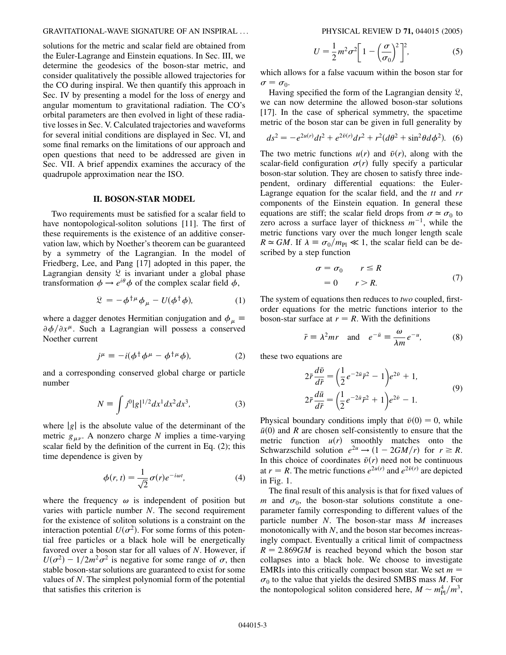GRAVITATIONAL-WAVE SIGNATURE OF AN INSPIRAL ... PHYSICAL REVIEW D **71,** 044015 (2005)

solutions for the metric and scalar field are obtained from the Euler-Lagrange and Einstein equations. In Sec. III, we determine the geodesics of the boson-star metric, and consider qualitatively the possible allowed trajectories for the CO during inspiral. We then quantify this approach in Sec. IV by presenting a model for the loss of energy and angular momentum to gravitational radiation. The CO's orbital parameters are then evolved in light of these radiative losses in Sec. V. Calculated trajectories and waveforms for several initial conditions are displayed in Sec. VI, and some final remarks on the limitations of our approach and open questions that need to be addressed are given in Sec. VII. A brief appendix examines the accuracy of the quadrupole approximation near the ISO.

### **II. BOSON-STAR MODEL**

Two requirements must be satisfied for a scalar field to have nontopological-soliton solutions [11]. The first of these requirements is the existence of an additive conservation law, which by Noether's theorem can be guaranteed by a symmetry of the Lagrangian. In the model of Friedberg, Lee, and Pang [17] adopted in this paper, the Lagrangian density  $\mathcal{L}$  is invariant under a global phase transformation  $\phi \rightarrow e^{i\theta} \phi$  of the complex scalar field  $\phi$ ,

$$
\mathfrak{L} = -\phi^{\dagger \mu} \phi_{\mu} - U(\phi^{\dagger} \phi), \tag{1}
$$

where a dagger denotes Hermitian conjugation and  $\phi_{\mu}$  $\partial \phi / \partial x^{\mu}$ . Such a Lagrangian will possess a conserved Noether current

$$
j^{\mu} \equiv -i(\phi^{\dagger} \phi^{\mu} - \phi^{\dagger \mu} \phi), \tag{2}
$$

and a corresponding conserved global charge or particle number

$$
N = \int j^0 |g|^{1/2} dx^1 dx^2 dx^3,
$$
 (3)

where  $|g|$  is the absolute value of the determinant of the metric  $g_{\mu\nu}$ . A nonzero charge *N* implies a time-varying scalar field by the definition of the current in Eq. (2); this time dependence is given by

$$
\phi(r,t) = \frac{1}{\sqrt{2}} \sigma(r) e^{-i\omega t},\tag{4}
$$

where the frequency  $\omega$  is independent of position but varies with particle number *N*. The second requirement for the existence of soliton solutions is a constraint on the interaction potential  $U(\sigma^2)$ . For some forms of this potential free particles or a black hole will be energetically favored over a boson star for all values of *N*. However, if  $U(\sigma^2) - 1/2m^2\sigma^2$  is negative for some range of  $\sigma$ , then stable boson-star solutions are guaranteed to exist for some values of *N*. The simplest polynomial form of the potential that satisfies this criterion is

$$
U = \frac{1}{2}m^2\sigma^2 \left[1 - \left(\frac{\sigma}{\sigma_0}\right)^2\right]^2,\tag{5}
$$

which allows for a false vacuum within the boson star for  $\sigma = \sigma_0$ .

Having specified the form of the Lagrangian density  $\mathcal{R}$ , we can now determine the allowed boson-star solutions [17]. In the case of spherical symmetry, the spacetime metric of the boson star can be given in full generality by

$$
ds^{2} = -e^{2u(r)}dt^{2} + e^{2\bar{v}(r)}dr^{2} + r^{2}(d\theta^{2} + \sin^{2}\theta d\phi^{2}).
$$
 (6)

The two metric functions  $u(r)$  and  $\bar{v}(r)$ , along with the scalar-field configuration  $\sigma(r)$  fully specify a particular boson-star solution. They are chosen to satisfy three independent, ordinary differential equations: the Euler-Lagrange equation for the scalar field, and the *tt* and *rr* components of the Einstein equation. In general these equations are stiff; the scalar field drops from  $\sigma \approx \sigma_0$  to zero across a surface layer of thickness  $m^{-1}$ , while the metric functions vary over the much longer length scale  $R \simeq GM$ . If  $\lambda \equiv \sigma_0/m_{\text{Pl}} \ll 1$ , the scalar field can be described by a step function

$$
\sigma = \sigma_0 \qquad r \le R
$$
  
= 0 \qquad r > R. (7)

The system of equations then reduces to *two* coupled, firstorder equations for the metric functions interior to the boson-star surface at  $r = R$ . With the definitions

$$
\bar{r} \equiv \lambda^2 mr
$$
 and  $e^{-\bar{u}} \equiv \frac{\omega}{\lambda m} e^{-u}$ , (8)

these two equations are

$$
2\bar{r}\frac{d\bar{v}}{d\bar{r}} = \left(\frac{1}{2}e^{-2\bar{u}}\bar{r}^2 - 1\right)e^{2\bar{v}} + 1,
$$
  
\n
$$
2\bar{r}\frac{d\bar{u}}{d\bar{r}} = \left(\frac{1}{2}e^{-2\bar{u}}\bar{r}^2 + 1\right)e^{2\bar{v}} - 1.
$$
\n(9)

Physical boundary conditions imply that  $\bar{v}(0) = 0$ , while  $\bar{u}(0)$  and *R* are chosen self-consistently to ensure that the metric function  $u(r)$  smoothly matches onto the Schwarzschild solution  $e^{2u} \rightarrow (1 - 2GM/r)$  for  $r \ge R$ . In this choice of coordinates  $\bar{v}(r)$  need not be continuous at  $r = R$ . The metric functions  $e^{2u(r)}$  and  $e^{2\bar{v}(r)}$  are depicted in Fig. 1.

The final result of this analysis is that for fixed values of *m* and  $\sigma_0$ , the boson-star solutions constitute a oneparameter family corresponding to different values of the particle number *N*. The boson-star mass *M* increases monotonically with *N*, and the boson star becomes increasingly compact. Eventually a critical limit of compactness  $R = 2.869$ *GM* is reached beyond which the boson star collapses into a black hole. We choose to investigate EMRIs into this critically compact boson star. We set *m*  $\sigma_0$  to the value that yields the desired SMBS mass *M*. For the nontopological soliton considered here,  $M \sim m_{\rm Pl}^4/m^3$ ,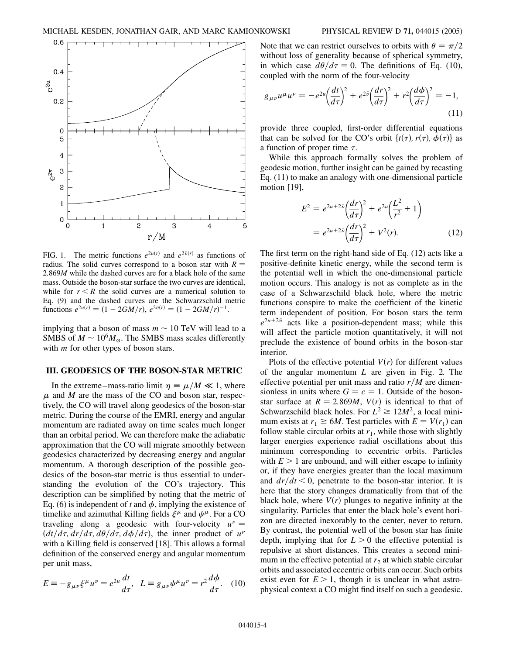

FIG. 1. The metric functions  $e^{2u(r)}$  and  $e^{2\bar{v}(r)}$  as functions of radius. The solid curves correspond to a boson star with  $R =$ 2*:*869*M* while the dashed curves are for a black hole of the same mass. Outside the boson-star surface the two curves are identical, while for  $r < R$  the solid curves are a numerical solution to Eq. (9) and the dashed curves are the Schwarzschild metric functions  $e^{2u(r)} = (1 - 2GM/r), e^{2\bar{v}(r)} = (1 - 2GM/r)^{-1}.$ 

implying that a boson of mass  $m \sim 10$  TeV will lead to a SMBS of  $M \sim 10^6 M_{\odot}$ . The SMBS mass scales differently with *m* for other types of boson stars.

### **III. GEODESICS OF THE BOSON-STAR METRIC**

In the extreme–mass-ratio limit  $\eta \equiv \mu/M \ll 1$ , where  $\mu$  and *M* are the mass of the CO and boson star, respectively, the CO will travel along geodesics of the boson-star metric. During the course of the EMRI, energy and angular momentum are radiated away on time scales much longer than an orbital period. We can therefore make the adiabatic approximation that the CO will migrate smoothly between geodesics characterized by decreasing energy and angular momentum. A thorough description of the possible geodesics of the boson-star metric is thus essential to understanding the evolution of the CO's trajectory. This description can be simplified by noting that the metric of Eq. (6) is independent of *t* and  $\phi$ , implying the existence of timelike and azimuthal Killing fields  $\xi^{\mu}$  and  $\psi^{\mu}$ . For a CO traveling along a geodesic with four-velocity  $u^{\nu} =$  $(dt/d\tau, dr/d\tau, d\theta/d\tau, d\phi/d\tau)$ , the inner product of  $u^{\nu}$ with a Killing field is conserved [18]. This allows a formal definition of the conserved energy and angular momentum per unit mass,

$$
E \equiv -g_{\mu\nu}\xi^{\mu}u^{\nu} = e^{2u}\frac{dt}{d\tau}, \quad L \equiv g_{\mu\nu}\psi^{\mu}u^{\nu} = r^{2}\frac{d\phi}{d\tau}.
$$
 (10)

Note that we can restrict ourselves to orbits with  $\theta = \pi/2$ without loss of generality because of spherical symmetry, in which case  $d\theta/d\tau = 0$ . The definitions of Eq. (10), coupled with the norm of the four-velocity

$$
g_{\mu\nu}u^{\mu}u^{\nu} = -e^{2u} \left(\frac{dt}{d\tau}\right)^2 + e^{2\bar{v}} \left(\frac{dr}{d\tau}\right)^2 + r^2 \left(\frac{d\phi}{d\tau}\right)^2 = -1,
$$
\n(11)

provide three coupled, first-order differential equations that can be solved for the CO's orbit  $\{t(\tau), r(\tau), \phi(\tau)\}\$ as a function of proper time  $\tau$ .

While this approach formally solves the problem of geodesic motion, further insight can be gained by recasting Eq. (11) to make an analogy with one-dimensional particle motion [19],

$$
E^{2} = e^{2u+2\bar{v}} \left(\frac{dr}{d\tau}\right)^{2} + e^{2u} \left(\frac{L^{2}}{r^{2}} + 1\right)
$$
  
=  $e^{2u+2\bar{v}} \left(\frac{dr}{d\tau}\right)^{2} + V^{2}(r).$  (12)

The first term on the right-hand side of Eq. (12) acts like a positive-definite kinetic energy, while the second term is the potential well in which the one-dimensional particle motion occurs. This analogy is not as complete as in the case of a Schwarzschild black hole, where the metric functions conspire to make the coefficient of the kinetic term independent of position. For boson stars the term  $e^{2u+2\bar{v}}$  acts like a position-dependent mass; while this will affect the particle motion quantitatively, it will not preclude the existence of bound orbits in the boson-star interior.

Plots of the effective potential  $V(r)$  for different values of the angular momentum *L* are given in Fig. 2. The effective potential per unit mass and ratio  $r/M$  are dimensionless in units where  $G = c = 1$ . Outside of the bosonstar surface at  $R = 2.869M$ ,  $V(r)$  is identical to that of Schwarzschild black holes. For  $L^2 \ge 12M^2$ , a local minimum exists at  $r_1 \geq 6M$ . Test particles with  $E = V(r_1)$  can follow stable circular orbits at  $r_1$ , while those with slightly larger energies experience radial oscillations about this minimum corresponding to eccentric orbits. Particles with  $E > 1$  are unbound, and will either escape to infinity or, if they have energies greater than the local maximum and  $dr/dt < 0$ , penetrate to the boson-star interior. It is here that the story changes dramatically from that of the black hole, where  $V(r)$  plunges to negative infinity at the singularity. Particles that enter the black hole's event horizon are directed inexorably to the center, never to return. By contrast, the potential well of the boson star has finite depth, implying that for  $L > 0$  the effective potential is repulsive at short distances. This creates a second minimum in the effective potential at  $r<sub>2</sub>$  at which stable circular orbits and associated eccentric orbits can occur. Such orbits exist even for  $E > 1$ , though it is unclear in what astrophysical context a CO might find itself on such a geodesic.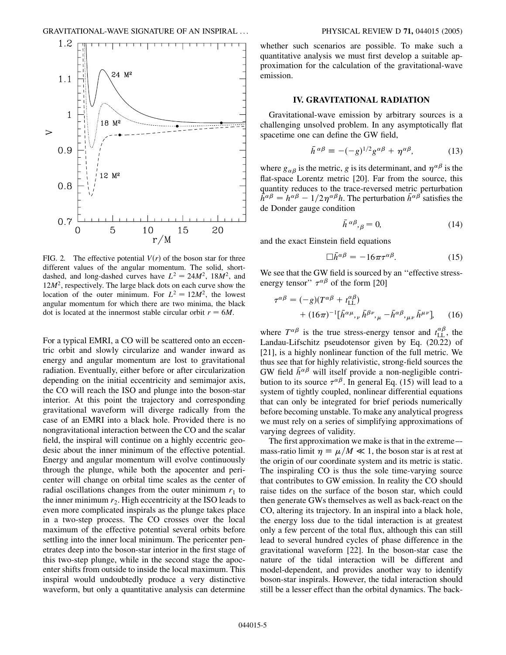

FIG. 2. The effective potential  $V(r)$  of the boson star for three different values of the angular momentum. The solid, shortdashed, and long-dashed curves have  $L^2 = 24M^2$ ,  $18M^2$ , and 12*M*<sup>2</sup>, respectively. The large black dots on each curve show the location of the outer minimum. For  $L^2 = 12M^2$ , the lowest angular momentum for which there are two minima, the black dot is located at the innermost stable circular orbit  $r = 6M$ .

For a typical EMRI, a CO will be scattered onto an eccentric orbit and slowly circularize and wander inward as energy and angular momentum are lost to gravitational radiation. Eventually, either before or after circularization depending on the initial eccentricity and semimajor axis, the CO will reach the ISO and plunge into the boson-star interior. At this point the trajectory and corresponding gravitational waveform will diverge radically from the case of an EMRI into a black hole. Provided there is no nongravitational interaction between the CO and the scalar field, the inspiral will continue on a highly eccentric geodesic about the inner minimum of the effective potential. Energy and angular momentum will evolve continuously through the plunge, while both the apocenter and pericenter will change on orbital time scales as the center of radial oscillations changes from the outer minimum  $r_1$  to the inner minimum  $r_2$ . High eccentricity at the ISO leads to even more complicated inspirals as the plunge takes place in a two-step process. The CO crosses over the local maximum of the effective potential several orbits before settling into the inner local minimum. The pericenter penetrates deep into the boson-star interior in the first stage of this two-step plunge, while in the second stage the apocenter shifts from outside to inside the local maximum. This inspiral would undoubtedly produce a very distinctive waveform, but only a quantitative analysis can determine whether such scenarios are possible. To make such a quantitative analysis we must first develop a suitable approximation for the calculation of the gravitational-wave emission.

#### **IV. GRAVITATIONAL RADIATION**

Gravitational-wave emission by arbitrary sources is a challenging unsolved problem. In any asymptotically flat spacetime one can define the GW field,

$$
\bar{h}^{\alpha\beta} \equiv -(-g)^{1/2} g^{\alpha\beta} + \eta^{\alpha\beta}, \qquad (13)
$$

where  $g_{\alpha\beta}$  is the metric, *g* is its determinant, and  $\eta^{\alpha\beta}$  is the flat-space Lorentz metric [20]. Far from the source, this quantity reduces to the trace-reversed metric perturbation  $\bar{h}^{\alpha\beta} = h^{\alpha\beta} - 1/2\eta^{\alpha\beta}h$ . The perturbation  $\bar{h}^{\alpha\beta}$  satisfies the de Donder gauge condition

$$
\bar{h}^{\alpha\beta},{}_{\beta} = 0,\tag{14}
$$

and the exact Einstein field equations

$$
\Box \bar{h}^{\alpha\beta} = -16\pi \tau^{\alpha\beta}.
$$
 (15)

We see that the GW field is sourced by an ''effective stressenergy tensor''  $\tau^{\alpha\beta}$  of the form [20]

$$
\tau^{\alpha\beta} = (-g)(T^{\alpha\beta} + t_{\text{LL}}^{\alpha\beta})
$$

$$
+ (16\pi)^{-1} [\bar{h}^{\alpha\mu}, {}_{\nu}\bar{h}^{\beta\nu}, {}_{\mu} - \bar{h}^{\alpha\beta}, {}_{\mu\nu}\bar{h}^{\mu\nu}], \quad (16)
$$

where  $T^{\alpha\beta}$  is the true stress-energy tensor and  $t_{\text{LL}}^{\alpha\beta}$ , the Landau-Lifschitz pseudotensor given by Eq. (20.22) of [21], is a highly nonlinear function of the full metric. We thus see that for highly relativistic, strong-field sources the GW field  $\bar{h}^{\alpha\beta}$  will itself provide a non-negligible contribution to its source  $\tau^{\alpha\beta}$ . In general Eq. (15) will lead to a system of tightly coupled, nonlinear differential equations that can only be integrated for brief periods numerically before becoming unstable. To make any analytical progress we must rely on a series of simplifying approximations of varying degrees of validity.

The first approximation we make is that in the extreme– mass-ratio limit  $\eta \equiv \mu/M \ll 1$ , the boson star is at rest at the origin of our coordinate system and its metric is static. The inspiraling CO is thus the sole time-varying source that contributes to GW emission. In reality the CO should raise tides on the surface of the boson star, which could then generate GWs themselves as well as back-react on the CO, altering its trajectory. In an inspiral into a black hole, the energy loss due to the tidal interaction is at greatest only a few percent of the total flux, although this can still lead to several hundred cycles of phase difference in the gravitational waveform [22]. In the boson-star case the nature of the tidal interaction will be different and model-dependent, and provides another way to identify boson-star inspirals. However, the tidal interaction should still be a lesser effect than the orbital dynamics. The back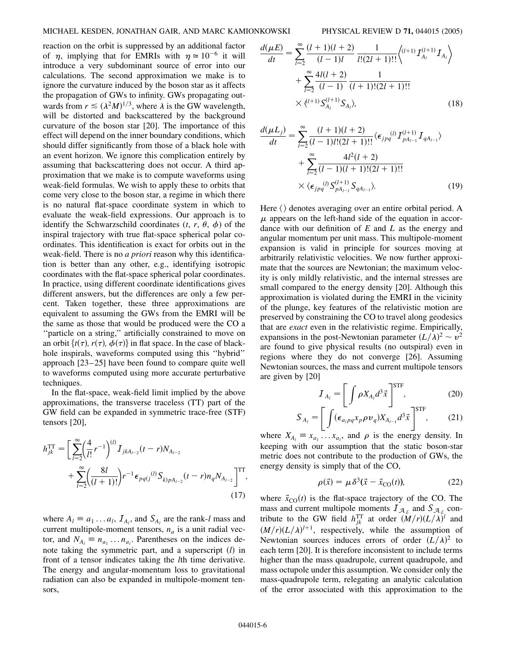reaction on the orbit is suppressed by an additional factor of  $\eta$ , implying that for EMRIs with  $\eta \simeq 10^{-6}$  it will introduce a very subdominant source of error into our calculations. The second approximation we make is to ignore the curvature induced by the boson star as it affects the propagation of GWs to infinity. GWs propagating outwards from  $r \le (\lambda^2 M)^{1/3}$ , where  $\lambda$  is the GW wavelength, will be distorted and backscattered by the background curvature of the boson star [20]. The importance of this effect will depend on the inner boundary conditions, which should differ significantly from those of a black hole with an event horizon. We ignore this complication entirely by assuming that backscattering does not occur. A third approximation that we make is to compute waveforms using weak-field formulas. We wish to apply these to orbits that come very close to the boson star, a regime in which there is no natural flat-space coordinate system in which to evaluate the weak-field expressions. Our approach is to identify the Schwarzschild coordinates  $(t, r, \theta, \phi)$  of the inspiral trajectory with true flat-space spherical polar coordinates. This identification is exact for orbits out in the weak-field. There is no *a priori* reason why this identification is better than any other, e.g., identifying isotropic coordinates with the flat-space spherical polar coordinates. In practice, using different coordinate identifications gives different answers, but the differences are only a few percent. Taken together, these three approximations are equivalent to assuming the GWs from the EMRI will be the same as those that would be produced were the CO a ''particle on a string,'' artificially constrained to move on an orbit  $\{t(\tau), r(\tau), \phi(\tau)\}\$ in flat space. In the case of blackhole inspirals, waveforms computed using this ''hybrid'' approach [23–25] have been found to compare quite well to waveforms computed using more accurate perturbative techniques.

In the flat-space, weak-field limit implied by the above approximations, the transverse traceless (TT) part of the GW field can be expanded in symmetric trace-free (STF) tensors [20],

$$
h_{jk}^{\text{TT}} = \left[ \sum_{l=2}^{\infty} \left( \frac{4}{l!} r^{-1} \right)^{(l)} J_{jkA_{l-2}}(t-r) N_{A_{l-2}} + \sum_{l=2}^{\infty} \left( \frac{8l}{(l+1)!} \right) r^{-1} \epsilon_{pq(j}^{(l)} S_{k)pA_{l-2}}(t-r) n_q N_{A_{l-2}} \right]^{\text{TT}},
$$
\n(17)

where  $A_l \equiv a_1 \dots a_l$ ,  $I_{A_l}$ , and  $S_{A_l}$  are the rank-*l* mass and current multipole-moment tensors,  $n_a$  is a unit radial vector, and  $N_{A_l} \equiv n_{a_1} \dots n_{a_l}$ . Parentheses on the indices denote taking the symmetric part, and a superscript (*l*) in front of a tensor indicates taking the *l*th time derivative. The energy and angular-momentum loss to gravitational radiation can also be expanded in multipole-moment tensors,

$$
\frac{d(\mu E)}{dt} = \sum_{l=2}^{\infty} \frac{(l+1)(l+2)}{(l-1)l} \frac{1}{l!(2l+1)!!} \left\langle {}^{(l+1)}I_{A_l}^{(l+1)}I_{A_l} \right\rangle
$$
  
+ 
$$
\sum_{l=2}^{\infty} \frac{4l(l+2)}{(l-1)} \frac{1}{(l+1)!(2l+1)!!}
$$
  
× 
$$
\left\langle {}^{(l+1)}S_{A_l}^{(l+1)}S_{A_l} \right\rangle,
$$
 (18)

$$
\frac{d(\mu L_j)}{dt} = \sum_{l=2}^{\infty} \frac{(l+1)(l+2)}{(l-1)l!(2l+1)!!} \langle \epsilon_{jpq}^{(l)} I_{pA_{l-1}}^{(l+1)} I_{qA_{l-1}} \rangle
$$
  
+ 
$$
\sum_{l=2}^{\infty} \frac{4l^2(l+2)}{(l-1)(l+1)!(2l+1)!!}
$$
  
×  $\langle \epsilon_{jpq}^{(l)} S_{pA_{l-1}}^{(l+1)} S_{qA_{l-1}} \rangle$ . (19)

Here  $\langle \rangle$  denotes averaging over an entire orbital period. A  $\mu$  appears on the left-hand side of the equation in accordance with our definition of *E* and *L* as the energy and angular momentum per unit mass. This multipole-moment expansion is valid in principle for sources moving at arbitrarily relativistic velocities. We now further approximate that the sources are Newtonian; the maximum velocity is only mildly relativistic, and the internal stresses are small compared to the energy density [20]. Although this approximation is violated during the EMRI in the vicinity of the plunge, key features of the relativistic motion are preserved by constraining the CO to travel along geodesics that are *exact* even in the relativistic regime. Empirically, expansions in the post-Newtonian parameter  $(L/\lambda)^2 \sim v^2$ are found to give physical results (no outspiral) even in regions where they do not converge [26]. Assuming Newtonian sources, the mass and current multipole tensors are given by [20]

$$
I_{A_l} = \left[ \int \rho X_{A_l} d^3 \vec{x} \right]^{STF}, \qquad (20)
$$

$$
S_{A_l} = \left[ \int (\epsilon_{a_l pq} x_p \rho v_q) X_{A_{l-1}} d^3 \vec{x} \right]^{-1}, \qquad (21)
$$

where  $X_{A_l} \equiv x_{a_1} \dots x_{a_l}$ , and  $\rho$  is the energy density. In keeping with our assumption that the static boson-star metric does not contribute to the production of GWs, the energy density is simply that of the CO,

$$
\rho(\vec{x}) = \mu \delta^3(\vec{x} - \vec{x}_{\text{CO}}(t)),\tag{22}
$$

where  $\vec{x}_{CO}(t)$  is the flat-space trajectory of the CO. The mass and current multipole moments  $I_{A_L}$  and  $S_{A_L}$  contribute to the GW field  $h_{jk}^{TT}$  at order  $(M/r)(L/\lambda)^l$  and  $(M/r)(L/\lambda)^{l+1}$ , respectively, while the assumption of Newtonian sources induces errors of order  $(L/\lambda)^2$  to each term [20]. It is therefore inconsistent to include terms higher than the mass quadrupole, current quadrupole, and mass octupole under this assumption. We consider only the mass-quadrupole term, relegating an analytic calculation of the error associated with this approximation to the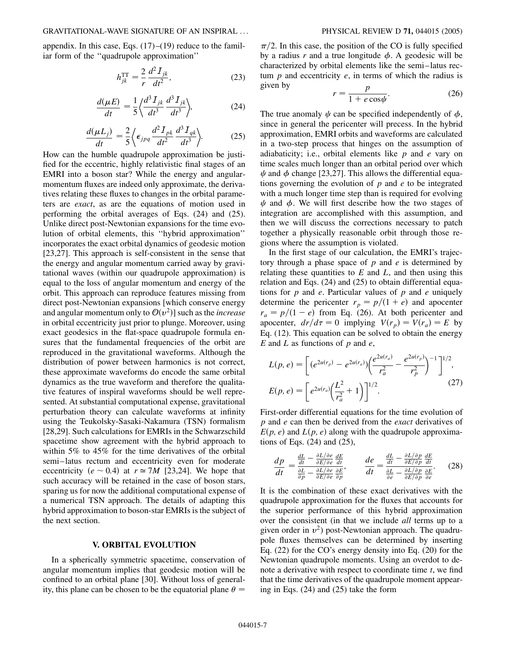appendix. In this case, Eqs.  $(17)$ – $(19)$  reduce to the familiar form of the ''quadrupole approximation''

$$
h_{jk}^{\rm TT} = \frac{2}{r} \frac{d^2 I_{jk}}{dt^2},
$$
 (23)

$$
\frac{d(\mu E)}{dt} = \frac{1}{5} \left\langle \frac{d^3 I_{jk}}{dt^3} \frac{d^3 I_{jk}}{dt^3} \right\rangle, \tag{24}
$$

$$
\frac{d(\mu L_j)}{dt} = \frac{2}{5} \left\langle \epsilon_{jpq} \frac{d^2 I_{pk}}{dt^2} \frac{d^3 I_{qk}}{dt^3} \right\rangle.
$$
 (25)

How can the humble quadrupole approximation be justified for the eccentric, highly relativistic final stages of an EMRI into a boson star? While the energy and angularmomentum fluxes are indeed only approximate, the derivatives relating these fluxes to changes in the orbital parameters are *exact*, as are the equations of motion used in performing the orbital averages of Eqs. (24) and (25). Unlike direct post-Newtonian expansions for the time evolution of orbital elements, this ''hybrid approximation'' incorporates the exact orbital dynamics of geodesic motion [23,27]. This approach is self-consistent in the sense that the energy and angular momentum carried away by gravitational waves (within our quadrupole approximation) is equal to the loss of angular momentum and energy of the orbit. This approach can reproduce features missing from direct post-Newtonian expansions [which conserve energy and angular momentum only to  $\mathcal{O}(v^2)$  such as the *increase* in orbital eccentricity just prior to plunge. Moreover, using exact geodesics in the flat-space quadrupole formula ensures that the fundamental frequencies of the orbit are reproduced in the gravitational waveforms. Although the distribution of power between harmonics is not correct, these approximate waveforms do encode the same orbital dynamics as the true waveform and therefore the qualitative features of inspiral waveforms should be well represented. At substantial computational expense, gravitational perturbation theory can calculate waveforms at infinity using the Teukolsky-Sasaki-Nakamura (TSN) formalism [28,29]. Such calculations for EMRIs in the Schwarzschild spacetime show agreement with the hybrid approach to within 5% to 45% for the time derivatives of the orbital semi–latus rectum and eccentricity even for moderate eccentricity  $(e \sim 0.4)$  at  $r \approx 7M$  [23,24]. We hope that such accuracy will be retained in the case of boson stars, sparing us for now the additional computational expense of a numerical TSN approach. The details of adapting this hybrid approximation to boson-star EMRIs is the subject of the next section.

## **V. ORBITAL EVOLUTION**

In a spherically symmetric spacetime, conservation of angular momentum implies that geodesic motion will be confined to an orbital plane [30]. Without loss of generality, this plane can be chosen to be the equatorial plane  $\theta =$   $\pi/2$ . In this case, the position of the CO is fully specified by a radius  $r$  and a true longitude  $\phi$ . A geodesic will be characterized by orbital elements like the semi–latus rectum *p* and eccentricity *e*, in terms of which the radius is given by

$$
r = \frac{p}{1 + e \cos \psi}.\tag{26}
$$

The true anomaly  $\psi$  can be specified independently of  $\phi$ , since in general the pericenter will precess. In the hybrid approximation, EMRI orbits and waveforms are calculated in a two-step process that hinges on the assumption of adiabaticity; i.e., orbital elements like *p* and *e* vary on time scales much longer than an orbital period over which  $\psi$  and  $\phi$  change [23,27]. This allows the differential equations governing the evolution of *p* and *e* to be integrated with a much longer time step than is required for evolving  $\psi$  and  $\phi$ . We will first describe how the two stages of integration are accomplished with this assumption, and then we will discuss the corrections necessary to patch together a physically reasonable orbit through those regions where the assumption is violated.

In the first stage of our calculation, the EMRI's trajectory through a phase space of *p* and *e* is determined by relating these quantities to *E* and *L*, and then using this relation and Eqs. (24) and (25) to obtain differential equations for *p* and *e*. Particular values of *p* and *e* uniquely determine the pericenter  $r_p = p/(1 + e)$  and apocenter  $r_a = p/(1 - e)$  from Eq. (26). At both pericenter and apocenter,  $dr/d\tau = 0$  implying  $V(r_n) = V(r_a) = E$  by Eq. (12). This equation can be solved to obtain the energy *E* and *L* as functions of *p* and *e*,

$$
L(p, e) = \left[ (e^{2u(r_p)} - e^{2u(r_a)}) \left( \frac{e^{2u(r_a)}}{r_a^2} - \frac{e^{2u(r_p)}}{r_p^2} \right)^{-1} \right]^{1/2},
$$
  
\n
$$
E(p, e) = \left[ e^{2u(r_a)} \left( \frac{L^2}{r_a^2} + 1 \right) \right]^{1/2}.
$$
\n(27)

First-order differential equations for the time evolution of *p* and *e* can then be derived from the *exact* derivatives of  $E(p, e)$  and  $L(p, e)$  along with the quadrupole approximations of Eqs. (24) and (25),

$$
\frac{dp}{dt} = \frac{\frac{dL}{dt} - \frac{\partial L/\partial e}{\partial E/\partial e}}{\frac{\partial L}{\partial p} - \frac{\partial L/\partial e}{\partial E/\partial e}} \frac{dE}{dp}, \qquad \frac{de}{dt} = \frac{\frac{dL}{dt} - \frac{\partial L/\partial p}{\partial E/\partial p}}{\frac{\partial L}{\partial e} - \frac{\partial L/\partial p}{\partial E/\partial p}} \frac{dE}{dp}.
$$
(28)

It is the combination of these exact derivatives with the quadrupole approximation for the fluxes that accounts for the superior performance of this hybrid approximation over the consistent (in that we include *all* terms up to a given order in  $v^2$ ) post-Newtonian approach. The quadrupole fluxes themselves can be determined by inserting Eq. (22) for the CO's energy density into Eq. (20) for the Newtonian quadrupole moments. Using an overdot to denote a derivative with respect to coordinate time *t*, we find that the time derivatives of the quadrupole moment appearing in Eqs. (24) and (25) take the form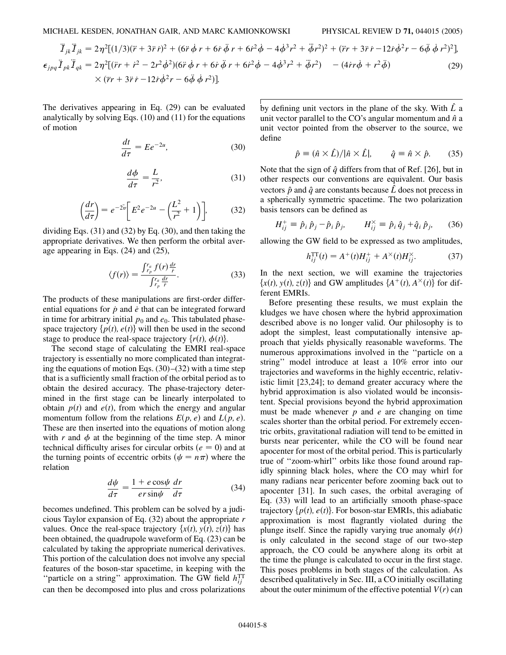MICHAEL KESDEN, JONATHAN GAIR, AND MARC KAMIONKOWSKI PHYSICAL REVIEW D **71,** 044015 (2005)

$$
\ddot{I}_{jk}\ddot{I}_{jk} = 2\eta^2[(1/3)(\ddot{r} + 3\ddot{r}\dot{r})^2 + (6\ddot{r}\dot{\phi}r + 6\dot{r}\ddot{\phi}r + 6\dot{r}^2\dot{\phi} - 4\dot{\phi}^3r^2 + \ddot{\phi}r^2)^2 + (\ddot{r}r + 3\ddot{r}\dot{r} - 12\dot{r}\dot{\phi}^2r - 6\ddot{\phi}\dot{\phi}r^2)^2],
$$
  
\n
$$
\epsilon_{jpq}\ddot{I}_{pk}\ddot{I}_{qk} = 2\eta^2[(\ddot{r}r + \dot{r}^2 - 2r^2\dot{\phi}^2)(6\ddot{r}\dot{\phi}r + 6\dot{r}\ddot{\phi}r + 6\dot{r}^2\dot{\phi} - 4\dot{\phi}^3r^2 + \ddot{\phi}r^2) - (4\dot{r}r\dot{\phi} + r^2\ddot{\phi})
$$
  
\n
$$
\times (\ddot{r}r + 3\ddot{r}\dot{r} - 12\dot{r}\dot{\phi}^2r - 6\ddot{\phi}\dot{\phi}r^2)].
$$
\n(29)

The derivatives appearing in Eq. (29) can be evaluated analytically by solving Eqs. (10) and (11) for the equations of motion

$$
\frac{dt}{d\tau} = E e^{-2u},\tag{30}
$$

$$
\frac{d\phi}{d\tau} = \frac{L}{r^2},\tag{31}
$$

$$
\left(\frac{dr}{d\tau}\right) = e^{-2\tilde{\nu}} \left[E^2 e^{-2u} - \left(\frac{L^2}{r^2} + 1\right)\right],\tag{32}
$$

dividing Eqs. (31) and (32) by Eq. (30), and then taking the appropriate derivatives. We then perform the orbital average appearing in Eqs. (24) and (25),

$$
\langle f(r) \rangle = \frac{\int_{r_p}^{r_a} f(r) \frac{dr}{\dot{r}}}{\int_{r_p}^{r_a} \frac{dr}{\dot{r}}}.
$$
 (33)

The products of these manipulations are first-order differential equations for  $\dot{p}$  and  $\dot{e}$  that can be integrated forward in time for arbitrary initial  $p_0$  and  $e_0$ . This tabulated phasespace trajectory  $\{p(t), e(t)\}\$  will then be used in the second stage to produce the real-space trajectory  $\{r(t), \phi(t)\}.$ 

The second stage of calculating the EMRI real-space trajectory is essentially no more complicated than integrating the equations of motion Eqs.  $(30)$ – $(32)$  with a time step that is a sufficiently small fraction of the orbital period as to obtain the desired accuracy. The phase-trajectory determined in the first stage can be linearly interpolated to obtain  $p(t)$  and  $e(t)$ , from which the energy and angular momentum follow from the relations  $E(p, e)$  and  $L(p, e)$ . These are then inserted into the equations of motion along with  $r$  and  $\phi$  at the beginning of the time step. A minor technical difficulty arises for circular orbits  $(e = 0)$  and at the turning points of eccentric orbits  $(\psi = n\pi)$  where the relation

$$
\frac{d\psi}{d\tau} = \frac{1 + e \cos\psi}{e r \sin\psi} \frac{dr}{d\tau}
$$
(34)

becomes undefined. This problem can be solved by a judicious Taylor expansion of Eq. (32) about the appropriate *r* values. Once the real-space trajectory  $\{x(t), y(t), z(t)\}\$  has been obtained, the quadrupole waveform of Eq. (23) can be calculated by taking the appropriate numerical derivatives. This portion of the calculation does not involve any special features of the boson-star spacetime, in keeping with the "particle on a string" approximation. The GW field  $h_{ij}^{TT}$ can then be decomposed into plus and cross polarizations by defining unit vectors in the plane of the sky. With  $\hat{L}$  a unit vector parallel to the CO's angular momentum and  $\hat{n}$  a unit vector pointed from the observer to the source, we define

$$
\hat{p} \equiv (\hat{n} \times \hat{L}) / |\hat{n} \times \hat{L}|, \qquad \hat{q} \equiv \hat{n} \times \hat{p}. \tag{35}
$$

Note that the sign of  $\hat{q}$  differs from that of Ref. [26], but in other respects our conventions are equivalent. Our basis vectors  $\hat{p}$  and  $\hat{q}$  are constants because  $\hat{L}$  does not precess in a spherically symmetric spacetime. The two polarization basis tensors can be defined as

$$
H_{ij}^+ \equiv \hat{p}_i \,\hat{p}_j - \hat{p}_i \,\hat{p}_j, \qquad H_{ij}^\times \equiv \hat{p}_i \,\hat{q}_j + \hat{q}_i \,\hat{p}_j,\tag{36}
$$

allowing the GW field to be expressed as two amplitudes,

$$
h_{ij}^{\rm TT}(t) = A^+(t)H_{ij}^+ + A^\times(t)H_{ij}^\times.
$$
 (37)

In the next section, we will examine the trajectories  ${x(t), y(t), z(t)}$  and GW amplitudes  ${A^+(t), A^{\times}(t)}$  for different EMRIs.

Before presenting these results, we must explain the kludges we have chosen where the hybrid approximation described above is no longer valid. Our philosophy is to adopt the simplest, least computationally intensive approach that yields physically reasonable waveforms. The numerous approximations involved in the ''particle on a string'' model introduce at least a 10% error into our trajectories and waveforms in the highly eccentric, relativistic limit [23,24]; to demand greater accuracy where the hybrid approximation is also violated would be inconsistent. Special provisions beyond the hybrid approximation must be made whenever *p* and *e* are changing on time scales shorter than the orbital period. For extremely eccentric orbits, gravitational radiation will tend to be emitted in bursts near pericenter, while the CO will be found near apocenter for most of the orbital period. This is particularly true of ''zoom-whirl'' orbits like those found around rapidly spinning black holes, where the CO may whirl for many radians near pericenter before zooming back out to apocenter [31]. In such cases, the orbital averaging of Eq. (33) will lead to an artificially smooth phase-space trajectory  $\{p(t), e(t)\}\$ . For boson-star EMRIs, this adiabatic approximation is most flagrantly violated during the plunge itself. Since the rapidly varying true anomaly  $\psi(t)$ is only calculated in the second stage of our two-step approach, the CO could be anywhere along its orbit at the time the plunge is calculated to occur in the first stage. This poses problems in both stages of the calculation. As described qualitatively in Sec. III, a CO initially oscillating about the outer minimum of the effective potential  $V(r)$  can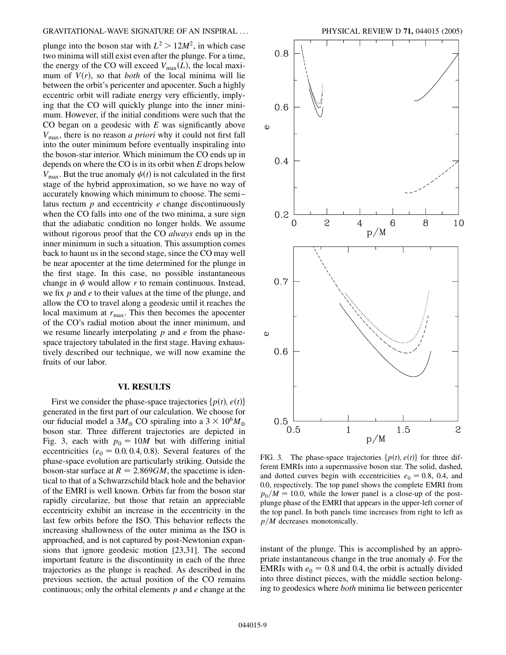plunge into the boson star with  $L^2 > 12M^2$ , in which case two minima will still exist even after the plunge. For a time, the energy of the CO will exceed  $V_{\text{max}}(L)$ , the local maximum of  $V(r)$ , so that *both* of the local minima will lie between the orbit's pericenter and apocenter. Such a highly eccentric orbit will radiate energy very efficiently, implying that the CO will quickly plunge into the inner minimum. However, if the initial conditions were such that the CO began on a geodesic with *E* was significantly above *V*max, there is no reason *a priori* why it could not first fall into the outer minimum before eventually inspiraling into the boson-star interior. Which minimum the CO ends up in depends on where the CO is in its orbit when *E* drops below  $V_{\text{max}}$ . But the true anomaly  $\psi(t)$  is not calculated in the first stage of the hybrid approximation, so we have no way of accurately knowing which minimum to choose. The semi– latus rectum *p* and eccentricity *e* change discontinuously when the CO falls into one of the two minima, a sure sign that the adiabatic condition no longer holds. We assume without rigorous proof that the CO *always* ends up in the inner minimum in such a situation. This assumption comes back to haunt us in the second stage, since the CO may well be near apocenter at the time determined for the plunge in the first stage. In this case, no possible instantaneous change in  $\psi$  would allow r to remain continuous. Instead, we fix *p* and *e* to their values at the time of the plunge, and allow the CO to travel along a geodesic until it reaches the local maximum at  $r_{\text{max}}$ . This then becomes the apocenter of the CO's radial motion about the inner minimum, and we resume linearly interpolating *p* and *e* from the phasespace trajectory tabulated in the first stage. Having exhaustively described our technique, we will now examine the fruits of our labor.

# **VI. RESULTS**

First we consider the phase-space trajectories  $\{p(t), e(t)\}$ generated in the first part of our calculation. We choose for our fiducial model a  $3M_{\odot}$  CO spiraling into a  $3 \times 10^{6} M_{\odot}$ boson star. Three different trajectories are depicted in Fig. 3, each with  $p_0 = 10M$  but with differing initial eccentricities  $(e_0 = 0.0, 0.4, 0.8)$ . Several features of the phase-space evolution are particularly striking. Outside the boson-star surface at  $R = 2.869$ *GM*, the spacetime is identical to that of a Schwarzschild black hole and the behavior of the EMRI is well known. Orbits far from the boson star rapidly circularize, but those that retain an appreciable eccentricity exhibit an increase in the eccentricity in the last few orbits before the ISO. This behavior reflects the increasing shallowness of the outer minima as the ISO is approached, and is not captured by post-Newtonian expansions that ignore geodesic motion [23,31]. The second important feature is the discontinuity in each of the three trajectories as the plunge is reached. As described in the previous section, the actual position of the CO remains continuous; only the orbital elements *p* and *e* change at the



FIG. 3. The phase-space trajectories  $\{p(t), e(t)\}$  for three different EMRIs into a supermassive boson star. The solid, dashed, and dotted curves begin with eccentricities  $e_0 = 0.8$ , 0.4, and 0.0, respectively. The top panel shows the complete EMRI from  $p_0/M = 10.0$ , while the lower panel is a close-up of the postplunge phase of the EMRI that appears in the upper-left corner of the top panel. In both panels time increases from right to left as  $p/M$  decreases monotonically.

instant of the plunge. This is accomplished by an appropriate instantaneous change in the true anomaly  $\psi$ . For the EMRIs with  $e_0 = 0.8$  and 0.4, the orbit is actually divided into three distinct pieces, with the middle section belonging to geodesics where *both* minima lie between pericenter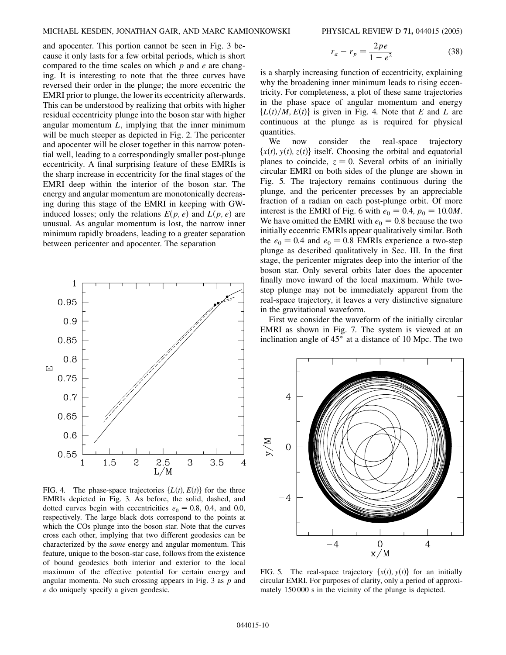and apocenter. This portion cannot be seen in Fig. 3 because it only lasts for a few orbital periods, which is short compared to the time scales on which *p* and *e* are changing. It is interesting to note that the three curves have reversed their order in the plunge; the more eccentric the EMRI prior to plunge, the lower its eccentricity afterwards. This can be understood by realizing that orbits with higher residual eccentricity plunge into the boson star with higher angular momentum *L*, implying that the inner minimum will be much steeper as depicted in Fig. 2. The pericenter and apocenter will be closer together in this narrow potential well, leading to a correspondingly smaller post-plunge eccentricity. A final surprising feature of these EMRIs is the sharp increase in eccentricity for the final stages of the EMRI deep within the interior of the boson star. The energy and angular momentum are monotonically decreasing during this stage of the EMRI in keeping with GWinduced losses; only the relations  $E(p, e)$  and  $L(p, e)$  are unusual. As angular momentum is lost, the narrow inner minimum rapidly broadens, leading to a greater separation between pericenter and apocenter. The separation



FIG. 4. The phase-space trajectories  $\{L(t), E(t)\}$  for the three EMRIs depicted in Fig. 3. As before, the solid, dashed, and dotted curves begin with eccentricities  $e_0 = 0.8$ , 0.4, and 0.0, respectively. The large black dots correspond to the points at which the COs plunge into the boson star. Note that the curves cross each other, implying that two different geodesics can be characterized by the *same* energy and angular momentum. This feature, unique to the boson-star case, follows from the existence of bound geodesics both interior and exterior to the local maximum of the effective potential for certain energy and angular momenta. No such crossing appears in Fig. 3 as *p* and *e* do uniquely specify a given geodesic.

$$
r_a - r_p = \frac{2pe}{1 - e^2} \tag{38}
$$

is a sharply increasing function of eccentricity, explaining why the broadening inner minimum leads to rising eccentricity. For completeness, a plot of these same trajectories in the phase space of angular momentum and energy  ${L(t)/M, E(t)}$  is given in Fig. 4. Note that *E* and *L* are continuous at the plunge as is required for physical quantities.

We now consider the real-space trajectory  ${x(t), y(t), z(t)}$  itself. Choosing the orbital and equatorial planes to coincide,  $z = 0$ . Several orbits of an initially circular EMRI on both sides of the plunge are shown in Fig. 5. The trajectory remains continuous during the plunge, and the pericenter precesses by an appreciable fraction of a radian on each post-plunge orbit. Of more interest is the EMRI of Fig. 6 with  $e_0 = 0.4$ ,  $p_0 = 10.0M$ . We have omitted the EMRI with  $e_0 = 0.8$  because the two initially eccentric EMRIs appear qualitatively similar. Both the  $e_0 = 0.4$  and  $e_0 = 0.8$  EMRIs experience a two-step plunge as described qualitatively in Sec. III. In the first stage, the pericenter migrates deep into the interior of the boson star. Only several orbits later does the apocenter finally move inward of the local maximum. While twostep plunge may not be immediately apparent from the real-space trajectory, it leaves a very distinctive signature in the gravitational waveform.

First we consider the waveform of the initially circular EMRI as shown in Fig. 7. The system is viewed at an inclination angle of  $45^{\circ}$  at a distance of 10 Mpc. The two



FIG. 5. The real-space trajectory  $\{x(t), y(t)\}$  for an initially circular EMRI. For purposes of clarity, only a period of approximately 150 000 s in the vicinity of the plunge is depicted.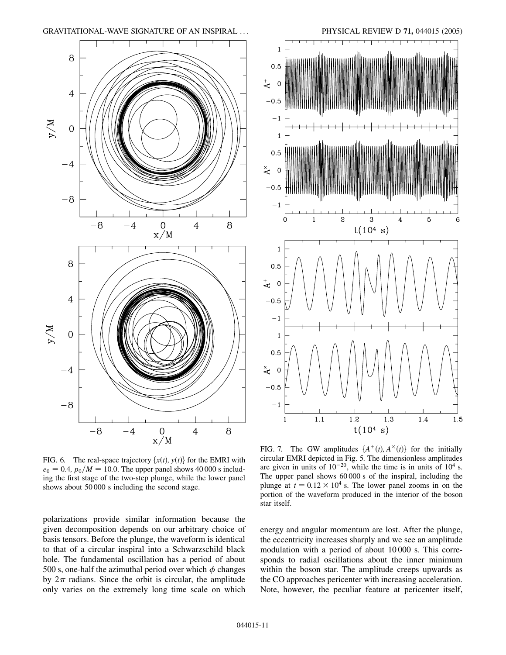

FIG. 6. The real-space trajectory  $\{x(t), y(t)\}$  for the EMRI with  $e_0 = 0.4$ ,  $p_0/M = 10.0$ . The upper panel shows 40 000 s including the first stage of the two-step plunge, while the lower panel shows about 50 000 s including the second stage.

polarizations provide similar information because the given decomposition depends on our arbitrary choice of basis tensors. Before the plunge, the waveform is identical to that of a circular inspiral into a Schwarzschild black hole. The fundamental oscillation has a period of about 500 s, one-half the azimuthal period over which  $\phi$  changes by  $2\pi$  radians. Since the orbit is circular, the amplitude only varies on the extremely long time scale on which



FIG. 7. The GW amplitudes  $\{A^+(t), A^\times(t)\}$  for the initially circular EMRI depicted in Fig. 5. The dimensionless amplitudes are given in units of  $10^{-20}$ , while the time is in units of  $10^4$  s. The upper panel shows 60 000 s of the inspiral, including the plunge at  $t = 0.12 \times 10^4$  s. The lower panel zooms in on the portion of the waveform produced in the interior of the boson star itself.

energy and angular momentum are lost. After the plunge, the eccentricity increases sharply and we see an amplitude modulation with a period of about 10 000 s. This corresponds to radial oscillations about the inner minimum within the boson star. The amplitude creeps upwards as the CO approaches pericenter with increasing acceleration. Note, however, the peculiar feature at pericenter itself,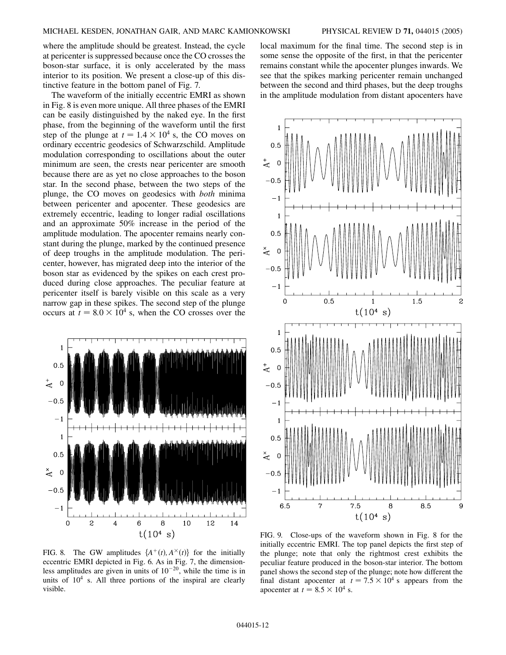where the amplitude should be greatest. Instead, the cycle at pericenter is suppressed because once the CO crosses the boson-star surface, it is only accelerated by the mass interior to its position. We present a close-up of this distinctive feature in the bottom panel of Fig. 7.

The waveform of the initially eccentric EMRI as shown in Fig. 8 is even more unique. All three phases of the EMRI can be easily distinguished by the naked eye. In the first phase, from the beginning of the waveform until the first step of the plunge at  $t = 1.4 \times 10^4$  s, the CO moves on ordinary eccentric geodesics of Schwarzschild. Amplitude modulation corresponding to oscillations about the outer minimum are seen, the crests near pericenter are smooth because there are as yet no close approaches to the boson star. In the second phase, between the two steps of the plunge, the CO moves on geodesics with *both* minima between pericenter and apocenter. These geodesics are extremely eccentric, leading to longer radial oscillations and an approximate 50% increase in the period of the amplitude modulation. The apocenter remains nearly constant during the plunge, marked by the continued presence of deep troughs in the amplitude modulation. The pericenter, however, has migrated deep into the interior of the boson star as evidenced by the spikes on each crest produced during close approaches. The peculiar feature at pericenter itself is barely visible on this scale as a very narrow gap in these spikes. The second step of the plunge occurs at  $t = 8.0 \times 10^4$  s, when the CO crosses over the



FIG. 8. The GW amplitudes  $\{A^+(t), A^\times(t)\}$  for the initially eccentric EMRI depicted in Fig. 6. As in Fig. 7, the dimensionless amplitudes are given in units of  $10^{-20}$ , while the time is in units of  $10<sup>4</sup>$  s. All three portions of the inspiral are clearly visible.

local maximum for the final time. The second step is in some sense the opposite of the first, in that the pericenter remains constant while the apocenter plunges inwards. We see that the spikes marking pericenter remain unchanged between the second and third phases, but the deep troughs in the amplitude modulation from distant apocenters have



FIG. 9. Close-ups of the waveform shown in Fig. 8 for the initially eccentric EMRI. The top panel depicts the first step of the plunge; note that only the rightmost crest exhibits the peculiar feature produced in the boson-star interior. The bottom panel shows the second step of the plunge; note how different the final distant apocenter at  $t = 7.5 \times 10^4$  s appears from the apocenter at  $t = 8.5 \times 10^4$  s.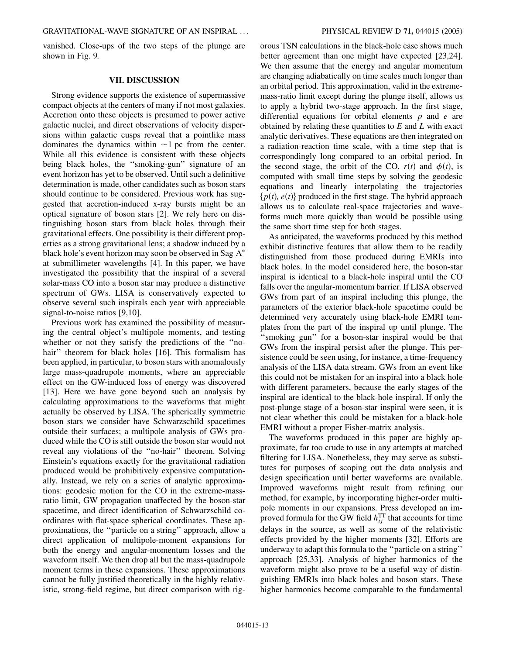vanished. Close-ups of the two steps of the plunge are shown in Fig. 9.

# **VII. DISCUSSION**

Strong evidence supports the existence of supermassive compact objects at the centers of many if not most galaxies. Accretion onto these objects is presumed to power active galactic nuclei, and direct observations of velocity dispersions within galactic cusps reveal that a pointlike mass dominates the dynamics within  $\sim$ 1 pc from the center. While all this evidence is consistent with these objects being black holes, the ''smoking-gun'' signature of an event horizon has yet to be observed. Until such a definitive determination is made, other candidates such as boson stars should continue to be considered. Previous work has suggested that accretion-induced x-ray bursts might be an optical signature of boson stars [2]. We rely here on distinguishing boson stars from black holes through their gravitational effects. One possibility is their different properties as a strong gravitational lens; a shadow induced by a black hole's event horizon may soon be observed in Sag A at submillimeter wavelengths [4]. In this paper, we have investigated the possibility that the inspiral of a several solar-mass CO into a boson star may produce a distinctive spectrum of GWs. LISA is conservatively expected to observe several such inspirals each year with appreciable signal-to-noise ratios [9,10].

Previous work has examined the possibility of measuring the central object's multipole moments, and testing whether or not they satisfy the predictions of the ''nohair" theorem for black holes [16]. This formalism has been applied, in particular, to boson stars with anomalously large mass-quadrupole moments, where an appreciable effect on the GW-induced loss of energy was discovered [13]. Here we have gone beyond such an analysis by calculating approximations to the waveforms that might actually be observed by LISA. The spherically symmetric boson stars we consider have Schwarzschild spacetimes outside their surfaces; a multipole analysis of GWs produced while the CO is still outside the boson star would not reveal any violations of the ''no-hair'' theorem. Solving Einstein's equations exactly for the gravitational radiation produced would be prohibitively expensive computationally. Instead, we rely on a series of analytic approximations: geodesic motion for the CO in the extreme-massratio limit, GW propagation unaffected by the boson-star spacetime, and direct identification of Schwarzschild coordinates with flat-space spherical coordinates. These approximations, the ''particle on a string'' approach, allow a direct application of multipole-moment expansions for both the energy and angular-momentum losses and the waveform itself. We then drop all but the mass-quadrupole moment terms in these expansions. These approximations cannot be fully justified theoretically in the highly relativistic, strong-field regime, but direct comparison with rigorous TSN calculations in the black-hole case shows much better agreement than one might have expected [23,24]. We then assume that the energy and angular momentum are changing adiabatically on time scales much longer than an orbital period. This approximation, valid in the extrememass-ratio limit except during the plunge itself, allows us to apply a hybrid two-stage approach. In the first stage, differential equations for orbital elements *p* and *e* are obtained by relating these quantities to *E* and *L* with exact analytic derivatives. These equations are then integrated on a radiation-reaction time scale, with a time step that is correspondingly long compared to an orbital period. In the second stage, the orbit of the CO,  $r(t)$  and  $\phi(t)$ , is computed with small time steps by solving the geodesic equations and linearly interpolating the trajectories  ${p(t), e(t)}$  produced in the first stage. The hybrid approach allows us to calculate real-space trajectories and waveforms much more quickly than would be possible using the same short time step for both stages.

As anticipated, the waveforms produced by this method exhibit distinctive features that allow them to be readily distinguished from those produced during EMRIs into black holes. In the model considered here, the boson-star inspiral is identical to a black-hole inspiral until the CO falls over the angular-momentum barrier. If LISA observed GWs from part of an inspiral including this plunge, the parameters of the exterior black-hole spacetime could be determined very accurately using black-hole EMRI templates from the part of the inspiral up until plunge. The "smoking gun" for a boson-star inspiral would be that GWs from the inspiral persist after the plunge. This persistence could be seen using, for instance, a time-frequency analysis of the LISA data stream. GWs from an event like this could not be mistaken for an inspiral into a black hole with different parameters, because the early stages of the inspiral are identical to the black-hole inspiral. If only the post-plunge stage of a boson-star inspiral were seen, it is not clear whether this could be mistaken for a black-hole EMRI without a proper Fisher-matrix analysis.

The waveforms produced in this paper are highly approximate, far too crude to use in any attempts at matched filtering for LISA. Nonetheless, they may serve as substitutes for purposes of scoping out the data analysis and design specification until better waveforms are available. Improved waveforms might result from refining our method, for example, by incorporating higher-order multipole moments in our expansions. Press developed an improved formula for the GW field  $h_{ij}^{\text{TT}}$  that accounts for time delays in the source, as well as some of the relativistic effects provided by the higher moments [32]. Efforts are underway to adapt this formula to the ''particle on a string'' approach [25,33]. Analysis of higher harmonics of the waveform might also prove to be a useful way of distinguishing EMRIs into black holes and boson stars. These higher harmonics become comparable to the fundamental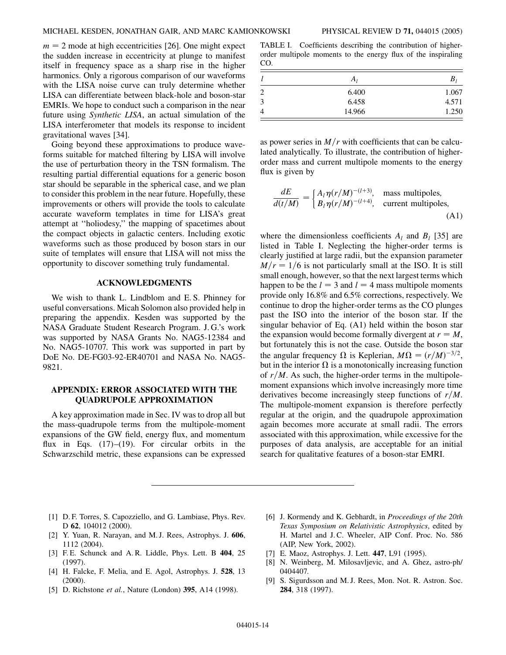$m = 2$  mode at high eccentricities [26]. One might expect the sudden increase in eccentricity at plunge to manifest itself in frequency space as a sharp rise in the higher harmonics. Only a rigorous comparison of our waveforms with the LISA noise curve can truly determine whether LISA can differentiate between black-hole and boson-star EMRIs. We hope to conduct such a comparison in the near future using *Synthetic LISA*, an actual simulation of the LISA interferometer that models its response to incident gravitational waves [34].

Going beyond these approximations to produce waveforms suitable for matched filtering by LISA will involve the use of perturbation theory in the TSN formalism. The resulting partial differential equations for a generic boson star should be separable in the spherical case, and we plan to consider this problem in the near future. Hopefully, these improvements or others will provide the tools to calculate accurate waveform templates in time for LISA's great attempt at ''holiodesy,'' the mapping of spacetimes about the compact objects in galactic centers. Including exotic waveforms such as those produced by boson stars in our suite of templates will ensure that LISA will not miss the opportunity to discover something truly fundamental.

### **ACKNOWLEDGMENTS**

We wish to thank L. Lindblom and E. S. Phinney for useful conversations. Micah Solomon also provided help in preparing the appendix. Kesden was supported by the NASA Graduate Student Research Program. J. G.'s work was supported by NASA Grants No. NAG5-12384 and No. NAG5-10707. This work was supported in part by DoE No. DE-FG03-92-ER40701 and NASA No. NAG5- 9821.

# **APPENDIX: ERROR ASSOCIATED WITH THE QUADRUPOLE APPROXIMATION**

A key approximation made in Sec. IV was to drop all but the mass-quadrupole terms from the multipole-moment expansions of the GW field, energy flux, and momentum flux in Eqs.  $(17)$ – $(19)$ . For circular orbits in the Schwarzschild metric, these expansions can be expressed

TABLE I. Coefficients describing the contribution of higherorder multipole moments to the energy flux of the inspiraling  $\underline{\overset{CO}{}}$ 

| l | $A_I$  | Б     |
|---|--------|-------|
| 2 | 6.400  | 1.067 |
| 3 | 6.458  | 4.571 |
| 4 | 14.966 | 1.250 |

as power series in  $M/r$  with coefficients that can be calculated analytically. To illustrate, the contribution of higherorder mass and current multipole moments to the energy flux is given by

$$
\frac{dE}{d(t/M)} = \begin{cases} A_l \eta(r/M)^{-(l+3)}, & \text{mass multipoles,} \\ B_l \eta(r/M)^{-(l+4)}, & \text{current multipoles,} \end{cases}
$$
(A1)

where the dimensionless coefficients  $A_l$  and  $B_l$  [35] are listed in Table I. Neglecting the higher-order terms is clearly justified at large radii, but the expansion parameter  $M/r = 1/6$  is not particularly small at the ISO. It is still small enough, however, so that the next largest terms which happen to be the  $l = 3$  and  $l = 4$  mass multipole moments provide only 16.8% and 6.5% corrections, respectively. We continue to drop the higher-order terms as the CO plunges past the ISO into the interior of the boson star. If the singular behavior of Eq. (A1) held within the boson star the expansion would become formally divergent at  $r = M$ , but fortunately this is not the case. Outside the boson star the angular frequency  $\Omega$  is Keplerian,  $M\Omega = (r/M)^{-3/2}$ , but in the interior  $\Omega$  is a monotonically increasing function of  $r/M$ . As such, the higher-order terms in the multipolemoment expansions which involve increasingly more time derivatives become increasingly steep functions of  $r/M$ . The multipole-moment expansion is therefore perfectly regular at the origin, and the quadrupole approximation again becomes more accurate at small radii. The errors associated with this approximation, while excessive for the purposes of data analysis, are acceptable for an initial search for qualitative features of a boson-star EMRI.

- [1] D. F. Torres, S. Capozziello, and G. Lambiase, Phys. Rev. D **62**, 104012 (2000).
- [2] Y. Yuan, R. Narayan, and M. J. Rees, Astrophys. J. **606**, 1112 (2004).
- [3] F. E. Schunck and A. R. Liddle, Phys. Lett. B **404**, 25 (1997).
- [4] H. Falcke, F. Melia, and E. Agol, Astrophys. J. **528**, 13 (2000).
- [5] D. Richstone *et al.*, Nature (London) **395**, A14 (1998).
- [6] J. Kormendy and K. Gebhardt, in *Proceedings of the 20th Texas Symposium on Relativistic Astrophysics*, edited by H. Martel and J. C. Wheeler, AIP Conf. Proc. No. 586 (AIP, New York, 2002).
- [7] E. Maoz, Astrophys. J. Lett. **447**, L91 (1995).
- [8] N. Weinberg, M. Milosavljevic, and A. Ghez, astro-ph/ 0404407.
- [9] S. Sigurdsson and M. J. Rees, Mon. Not. R. Astron. Soc. **284**, 318 (1997).